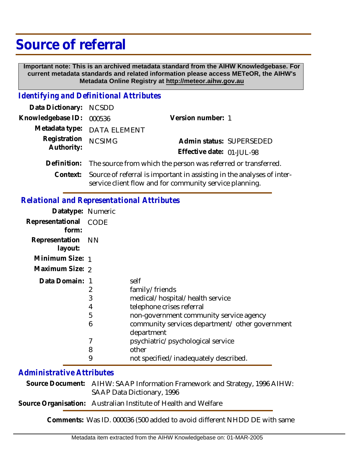# **Source of referral**

 **Important note: This is an archived metadata standard from the AIHW Knowledgebase. For current metadata standards and related information please access METeOR, the AIHW's Metadata Online Registry at http://meteor.aihw.gov.au**

### *Identifying and Definitional Attributes*

| Data Dictionary: NCSDD   |                                                                                 |                           |                          |
|--------------------------|---------------------------------------------------------------------------------|---------------------------|--------------------------|
| Knowledgebase ID: 000536 |                                                                                 | Version number: 1         |                          |
|                          | Metadata type: DATA ELEMENT                                                     |                           |                          |
| Registration NCSIMG      |                                                                                 |                           | Admin status: SUPERSEDED |
| Authority:               |                                                                                 | Effective date: 01-JUL-98 |                          |
|                          | Definition: The source from which the person was referred or transferred.       |                           |                          |
|                          | Context: Source of referral is important in assisting in the analyses of inter- |                           |                          |

#### service client flow and for community service planning.

## *Relational and Representational Attributes*

| Datatype: Numeric         |      |                                                               |
|---------------------------|------|---------------------------------------------------------------|
| Representational<br>form: | CODE |                                                               |
| Representation<br>layout: | NN.  |                                                               |
| Minimum Size: 1           |      |                                                               |
| Maximum Size: 2           |      |                                                               |
| Data Domain: 1            |      | self                                                          |
|                           | 2    | family/friends                                                |
|                           | 3    | medical/hospital/health service                               |
|                           | 4    | telephone crises referral                                     |
|                           | 5    | non-government community service agency                       |
|                           | 6    | community services department/ other government<br>department |
|                           | 7    | psychiatric/psychological service                             |
|                           | 8    | other                                                         |
|                           | 9    | not specified/inadequately described.                         |

# *Administrative Attributes*

Source Document: AIHW: SAAP Information Framework and Strategy, 1996 AIHW: SAAP Data Dictionary, 1996

**Source Organisation:** Australian Institute of Health and Welfare

**Comments:** Was ID. 000036 (500 added to avoid different NHDD DE with same